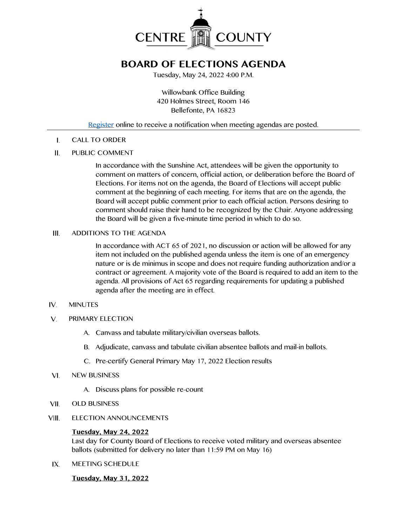

# **BOARD OF ELECTIONS AGENDA**

Tuesday, May 24, 2022 4:00 P.M.

Willowbank Office Building 420 Holmes Street, Room 146 Bellefonte, PA 16823

## [Register](http://www.centrecountypa.gov/AgendaCenter) online to receive a notification when meeting agendas are posted.

 $\mathbf{I}$ . CALL TO ORDER

#### Ш. PUBLIC COMMENT

In accordance with the Sunshine Act, attendees will be given the opportunity to comment on matters of concern, official action, or deliberation before the Board of Elections. For items not on the agenda, the Board of Elections will accept public comment at the beginning of each meeting. For items that are on the agenda, the Board will accept public comment prior to each official action. Persons desiring to comment should raise their hand to be recognized by the Chair. Anyone addressing the Board will be given a five-minute time period in which to do so.

#### ADDITIONS TO THE AGENDA III.

In accordance with ACT 65 of 2021, no discussion or action will be allowed for any item not included on the published agenda unless the item is one of an emergency nature or is de minimus in scope and does not require funding authorization and/or a contract or agreement. A majority vote of the Board is required to add an item to the agenda. All provisions of Act 65 regarding requirements for updating a published agenda after the meeting are in effect.

#### IV. MINUTES

- $V_{\cdot}$ PRIMARY ELECTION
	- A. Canvass and tabulate military/civilian overseas ballots.
	- B. Adjudicate, canvass and tabulate civilian absentee ballots and mail-in ballots.
	- C. Pre-certify General Primary May 17, 2022 Election results
- VI. NEW BUSINESS
	- A. Discuss plans for possible re-count
- VII. OLD BUSINESS

#### VIII. ELECTION ANNOUNCEMENTS

### **Tuesday, May 24, 2022**

Last day for County Board of Elections to receive voted military and overseas absentee ballots (submitted for delivery no later than 11:59 PM on May 16)

IX. MEETING SCHEDULE

### **Tuesday, May 31, 2022**